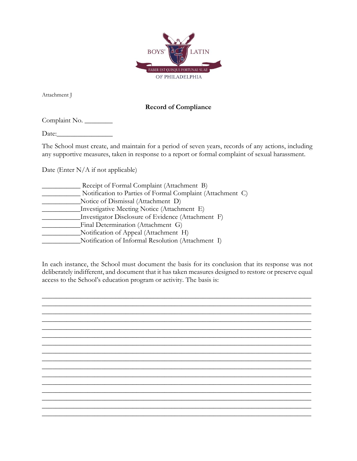

Attachment J

## **Record of Compliance**

Complaint No.

Date:\_\_\_\_\_\_\_\_\_\_\_\_\_\_\_\_

The School must create, and maintain for a period of seven years, records of any actions, including any supportive measures, taken in response to a report or formal complaint of sexual harassment.

Date (Enter N/A if not applicable)

| Receipt of Formal Complaint (Attachment B)                 |
|------------------------------------------------------------|
| Notification to Parties of Formal Complaint (Attachment C) |
| Notice of Dismissal (Attachment D)                         |
| Investigative Meeting Notice (Attachment E)                |
| Investigator Disclosure of Evidence (Attachment F)         |
| Final Determination (Attachment G)                         |
| Notification of Appeal (Attachment H)                      |
| Notification of Informal Resolution (Attachment I)         |
|                                                            |

In each instance, the School must document the basis for its conclusion that its response was not deliberately indifferent, and document that it has taken measures designed to restore or preserve equal access to the School's education program or activity. The basis is: